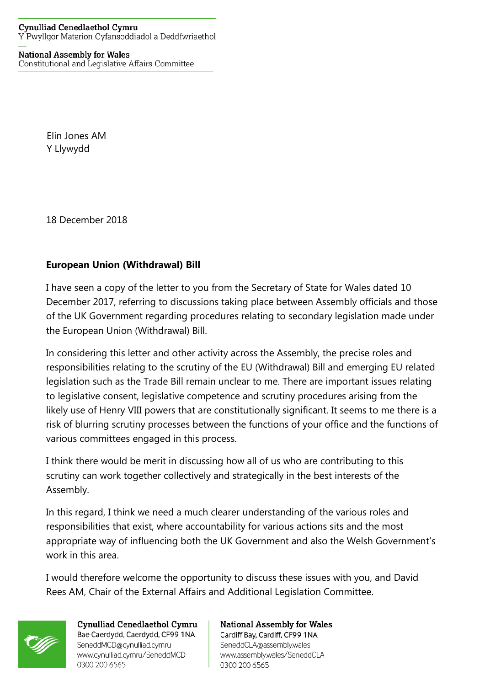## **National Assembly for Wales**

Constitutional and Legislative Affairs Committee

Elin Jones AM Y Llywydd

18 December 2018

## **European Union (Withdrawal) Bill**

I have seen a copy of the letter to you from the Secretary of State for Wales dated 10 December 2017, referring to discussions taking place between Assembly officials and those of the UK Government regarding procedures relating to secondary legislation made under the European Union (Withdrawal) Bill.

In considering this letter and other activity across the Assembly, the precise roles and responsibilities relating to the scrutiny of the EU (Withdrawal) Bill and emerging EU related legislation such as the Trade Bill remain unclear to me. There are important issues relating to legislative consent, legislative competence and scrutiny procedures arising from the likely use of Henry VIII powers that are constitutionally significant. It seems to me there is a risk of blurring scrutiny processes between the functions of your office and the functions of various committees engaged in this process.

I think there would be merit in discussing how all of us who are contributing to this scrutiny can work together collectively and strategically in the best interests of the Assembly.

In this regard, I think we need a much clearer understanding of the various roles and responsibilities that exist, where accountability for various actions sits and the most appropriate way of influencing both the UK Government and also the Welsh Government's work in this area.

I would therefore welcome the opportunity to discuss these issues with you, and David Rees AM, Chair of the External Affairs and Additional Legislation Committee.

0300 200 6565



Cynulliad Cenedlaethol Cymru Bae Caerdydd, Caerdydd, CF99 1NA SeneddMCD@cynulliad.cymru www.cynulliad.cymru/SeneddMCD 0300 200 6565

**National Assembly for Wales** Cardiff Bay, Cardiff, CF99 1NA SeneddCLA@assembly.wales www.assembly.wales/SeneddCLA